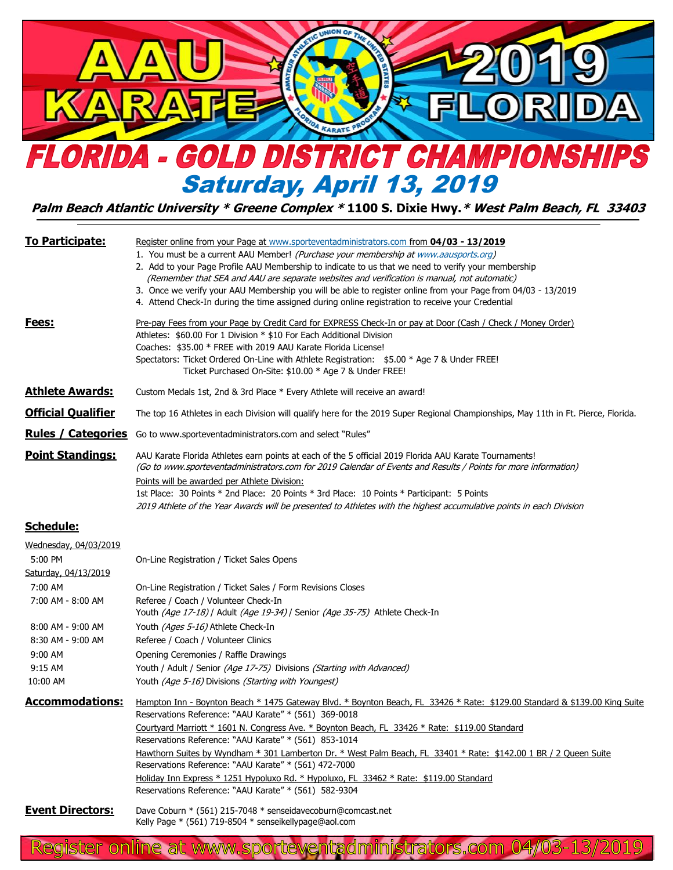

## **Palm Beach Atlantic University \* Greene Complex \* 1100 S. Dixie Hwy.\* West Palm Beach, FL 33403**

| <b>To Participate:</b>                                   | <u> Register online from your Page at www.sporteventadministrators.com from 04/03 - 13/2019</u><br>1. You must be a current AAU Member! (Purchase your membership at www.aausports.org)<br>2. Add to your Page Profile AAU Membership to indicate to us that we need to verify your membership<br>(Remember that SEA and AAU are separate websites and verification is manual, not automatic)<br>3. Once we verify your AAU Membership you will be able to register online from your Page from 04/03 - 13/2019<br>4. Attend Check-In during the time assigned during online registration to receive your Credential                                                            |
|----------------------------------------------------------|--------------------------------------------------------------------------------------------------------------------------------------------------------------------------------------------------------------------------------------------------------------------------------------------------------------------------------------------------------------------------------------------------------------------------------------------------------------------------------------------------------------------------------------------------------------------------------------------------------------------------------------------------------------------------------|
| <u>Fees:</u>                                             | Pre-pay Fees from your Page by Credit Card for EXPRESS Check-In or pay at Door (Cash / Check / Money Order)<br>Athletes: \$60.00 For 1 Division * \$10 For Each Additional Division<br>Coaches: \$35.00 * FREE with 2019 AAU Karate Florida License!<br>Spectators: Ticket Ordered On-Line with Athlete Registration: \$5.00 * Age 7 & Under FREE!<br>Ticket Purchased On-Site: \$10.00 * Age 7 & Under FREE!                                                                                                                                                                                                                                                                  |
| <b>Athlete Awards:</b>                                   | Custom Medals 1st, 2nd & 3rd Place * Every Athlete will receive an award!                                                                                                                                                                                                                                                                                                                                                                                                                                                                                                                                                                                                      |
| <b>Official Qualifier</b>                                | The top 16 Athletes in each Division will qualify here for the 2019 Super Regional Championships, May 11th in Ft. Pierce, Florida.                                                                                                                                                                                                                                                                                                                                                                                                                                                                                                                                             |
| <b>Rules / Categories</b>                                | Go to www.sporteventadministrators.com and select "Rules"                                                                                                                                                                                                                                                                                                                                                                                                                                                                                                                                                                                                                      |
| <b>Point Standings:</b>                                  | AAU Karate Florida Athletes earn points at each of the 5 official 2019 Florida AAU Karate Tournaments!<br>(Go to www.sporteventadministrators.com for 2019 Calendar of Events and Results / Points for more information)                                                                                                                                                                                                                                                                                                                                                                                                                                                       |
|                                                          | Points will be awarded per Athlete Division:<br>1st Place: 30 Points * 2nd Place: 20 Points * 3rd Place: 10 Points * Participant: 5 Points<br>2019 Athlete of the Year Awards will be presented to Athletes with the highest accumulative points in each Division                                                                                                                                                                                                                                                                                                                                                                                                              |
| <b>Schedule:</b>                                         |                                                                                                                                                                                                                                                                                                                                                                                                                                                                                                                                                                                                                                                                                |
| Wednesday, 04/03/2019<br>5:00 PM<br>Saturday, 04/13/2019 | On-Line Registration / Ticket Sales Opens                                                                                                                                                                                                                                                                                                                                                                                                                                                                                                                                                                                                                                      |
| 7:00 AM<br>7:00 AM - 8:00 AM                             | On-Line Registration / Ticket Sales / Form Revisions Closes<br>Referee / Coach / Volunteer Check-In<br>Youth (Age 17-18) / Adult (Age 19-34) / Senior (Age 35-75) Athlete Check-In                                                                                                                                                                                                                                                                                                                                                                                                                                                                                             |
| 8:00 AM - 9:00 AM<br>8:30 AM - 9:00 AM                   | Youth (Ages 5-16) Athlete Check-In<br>Referee / Coach / Volunteer Clinics                                                                                                                                                                                                                                                                                                                                                                                                                                                                                                                                                                                                      |
| 9:00 AM<br>9:15 AM<br>10:00 AM                           | Opening Ceremonies / Raffle Drawings<br>Youth / Adult / Senior (Age 17-75) Divisions (Starting with Advanced)<br>Youth (Age 5-16) Divisions (Starting with Youngest)                                                                                                                                                                                                                                                                                                                                                                                                                                                                                                           |
| <b>Accommodations:</b>                                   | Hampton Inn - Boynton Beach * 1475 Gateway Blvd. * Boynton Beach, FL 33426 * Rate: \$129.00 Standard & \$139.00 King Suite<br>Reservations Reference: "AAU Karate" * (561) 369-0018<br>Courtyard Marriott * 1601 N. Congress Ave. * Boynton Beach, FL 33426 * Rate: \$119.00 Standard<br>Reservations Reference: "AAU Karate" * (561) 853-1014<br>Hawthorn Suites by Wyndham * 301 Lamberton Dr. * West Palm Beach, FL 33401 * Rate: \$142.00 1 BR / 2 Queen Suite<br>Reservations Reference: "AAU Karate" * (561) 472-7000<br>Holiday Inn Express * 1251 Hypoluxo Rd. * Hypoluxo, FL 33462 * Rate: \$119.00 Standard<br>Reservations Reference: "AAU Karate" * (561) 582-9304 |
| <b>Event Directors:</b>                                  | Dave Coburn * (561) 215-7048 * senseidavecoburn@comcast.net<br>Kelly Page * (561) 719-8504 * senseikellypage@aol.com                                                                                                                                                                                                                                                                                                                                                                                                                                                                                                                                                           |

Register online at www.sporteventadministrators.com 04/03-13/2019